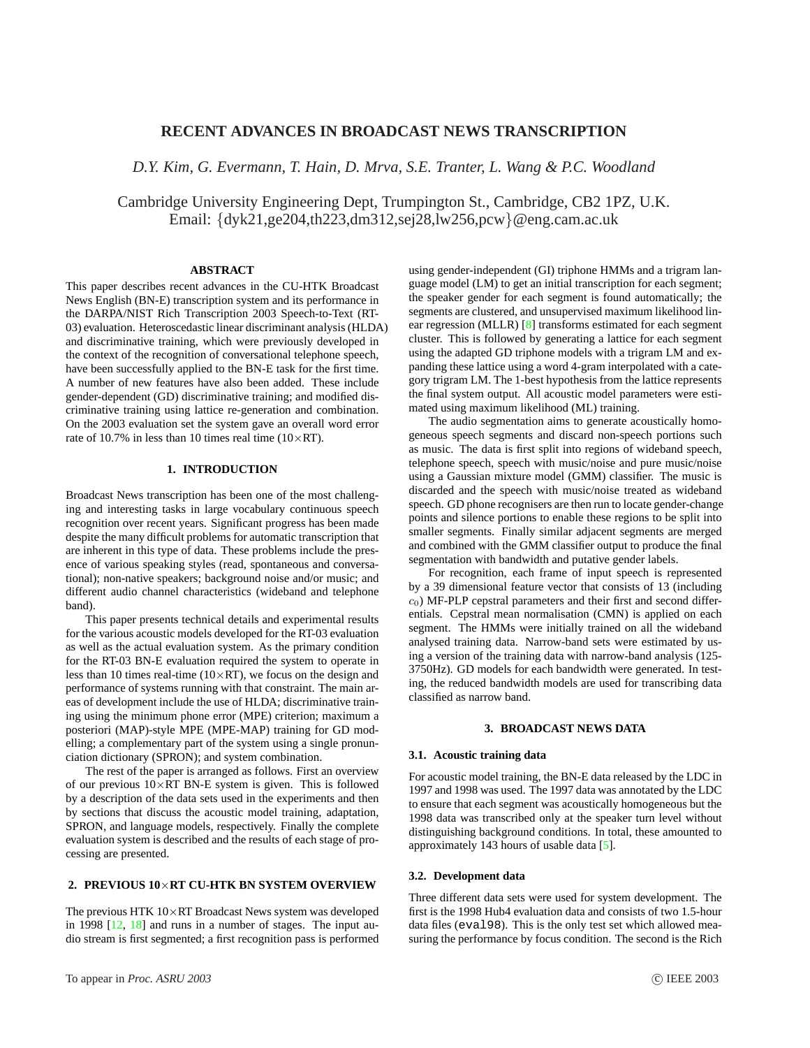# **RECENT ADVANCES IN BROADCAST NEWS TRANSCRIPTION**

*D.Y. Kim, G. Evermann, T. Hain, D. Mrva, S.E. Tranter, L. Wang & P.C. Woodland*

Cambridge University Engineering Dept, Trumpington St., Cambridge, CB2 1PZ, U.K. Email: {dyk21,ge204,th223,dm312,sej28,lw256,pcw}@eng.cam.ac.uk

### **ABSTRACT**

This paper describes recent advances in the CU-HTK Broadcast News English (BN-E) transcription system and its performance in the DARPA/NIST Rich Transcription 2003 Speech-to-Text (RT-03) evaluation. Heteroscedastic linear discriminant analysis (HLDA) and discriminative training, which were previously developed in the context of the recognition of conversational telephone speech, have been successfully applied to the BN-E task for the first time. A number of new features have also been added. These include gender-dependent (GD) discriminative training; and modified discriminative training using lattice re-generation and combination. On the 2003 evaluation set the system gave an overall word error rate of 10.7% in less than 10 times real time ( $10\times RT$ ).

# **1. INTRODUCTION**

Broadcast News transcription has been one of the most challenging and interesting tasks in large vocabulary continuous speech recognition over recent years. Significant progress has been made despite the many difficult problems for automatic transcription that are inherent in this type of data. These problems include the presence of various speaking styles (read, spontaneous and conversational); non-native speakers; background noise and/or music; and different audio channel characteristics (wideband and telephone band).

This paper presents technical details and experimental results for the various acoustic models developed for the RT-03 evaluation as well as the actual evaluation system. As the primary condition for the RT-03 BN-E evaluation required the system to operate in less than 10 times real-time ( $10\times RT$ ), we focus on the design and performance of systems running with that constraint. The main areas of development include the use of HLDA; discriminative training using the minimum phone error (MPE) criterion; maximum a posteriori (MAP)-style MPE (MPE-MAP) training for GD modelling; a complementary part of the system using a single pronunciation dictionary (SPRON); and system combination.

The rest of the paper is arranged as follows. First an overview of our previous  $10 \times RT$  BN-E system is given. This is followed by a description of the data sets used in the experiments and then by sections that discuss the acoustic model training, adaptation, SPRON, and language models, respectively. Finally the complete evaluation system is described and the results of each stage of processing are presented.

#### **2. PREVIOUS 10**×**RT CU-HTK BN SYSTEM OVERVIEW**

The previous HTK  $10\times$ RT Broadcast News system was developed in 1998 [\[12,](#page-5-0) [18\]](#page-5-0) and runs in a number of stages. The input audio stream is first segmented; a first recognition pass is performed using gender-independent (GI) triphone HMMs and a trigram language model (LM) to get an initial transcription for each segment; the speaker gender for each segment is found automatically; the segments are clustered, and unsupervised maximum likelihood linear regression (MLLR) [\[8\]](#page-5-0) transforms estimated for each segment cluster. This is followed by generating a lattice for each segment using the adapted GD triphone models with a trigram LM and expanding these lattice using a word 4-gram interpolated with a category trigram LM. The 1-best hypothesis from the lattice represents the final system output. All acoustic model parameters were estimated using maximum likelihood (ML) training.

The audio segmentation aims to generate acoustically homogeneous speech segments and discard non-speech portions such as music. The data is first split into regions of wideband speech, telephone speech, speech with music/noise and pure music/noise using a Gaussian mixture model (GMM) classifier. The music is discarded and the speech with music/noise treated as wideband speech. GD phone recognisers are then run to locate gender-change points and silence portions to enable these regions to be split into smaller segments. Finally similar adjacent segments are merged and combined with the GMM classifier output to produce the final segmentation with bandwidth and putative gender labels.

For recognition, each frame of input speech is represented by a 39 dimensional feature vector that consists of 13 (including  $c<sub>0</sub>$ ) MF-PLP cepstral parameters and their first and second differentials. Cepstral mean normalisation (CMN) is applied on each segment. The HMMs were initially trained on all the wideband analysed training data. Narrow-band sets were estimated by using a version of the training data with narrow-band analysis (125- 3750Hz). GD models for each bandwidth were generated. In testing, the reduced bandwidth models are used for transcribing data classified as narrow band.

### **3. BROADCAST NEWS DATA**

## **3.1. Acoustic training data**

For acoustic model training, the BN-E data released by the LDC in 1997 and 1998 was used. The 1997 data was annotated by the LDC to ensure that each segment was acoustically homogeneous but the 1998 data was transcribed only at the speaker turn level without distinguishing background conditions. In total, these amounted to approximately 143 hours of usable data [\[5\]](#page-5-0).

#### **3.2. Development data**

Three different data sets were used for system development. The first is the 1998 Hub4 evaluation data and consists of two 1.5-hour data files (eval98). This is the only test set which allowed measuring the performance by focus condition. The second is the Rich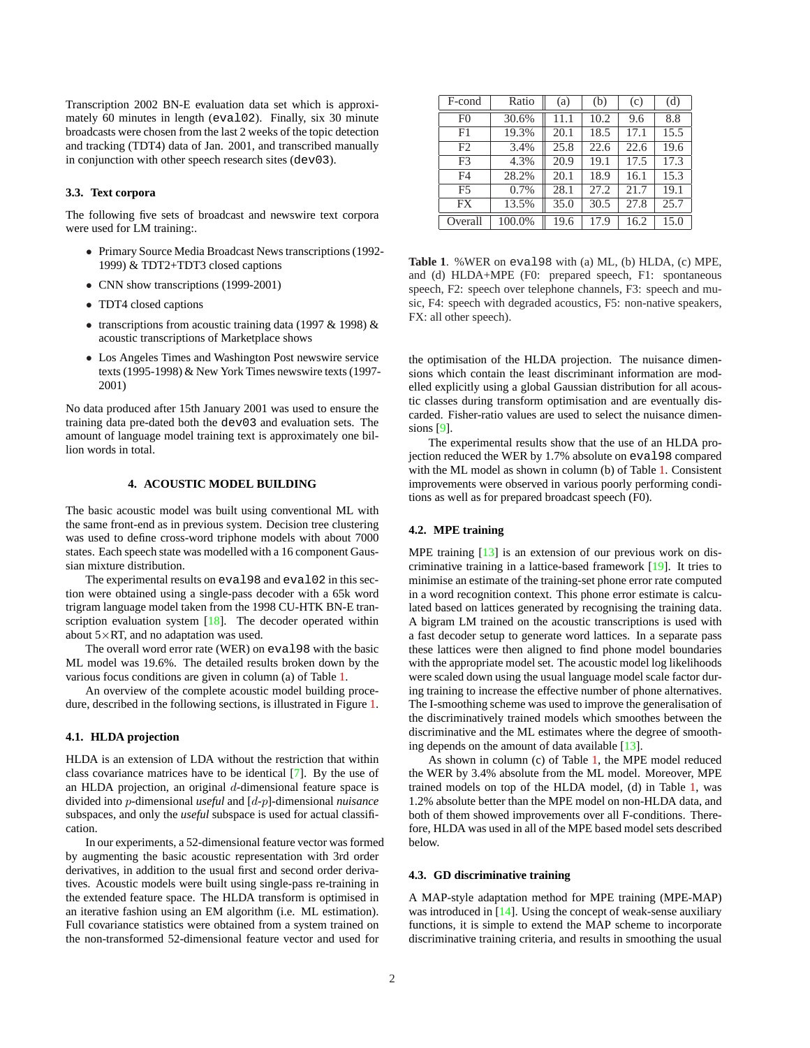<span id="page-1-0"></span>Transcription 2002 BN-E evaluation data set which is approximately 60 minutes in length (eval02). Finally, six 30 minute broadcasts were chosen from the last 2 weeks of the topic detection and tracking (TDT4) data of Jan. 2001, and transcribed manually in conjunction with other speech research sites (dev03).

### **3.3. Text corpora**

The following five sets of broadcast and newswire text corpora were used for LM training:.

- Primary Source Media Broadcast News transcriptions (1992- 1999) & TDT2+TDT3 closed captions
- CNN show transcriptions (1999-2001)
- TDT4 closed captions
- transcriptions from acoustic training data (1997 & 1998) & acoustic transcriptions of Marketplace shows
- Los Angeles Times and Washington Post newswire service texts (1995-1998) & New York Times newswire texts (1997- 2001)

No data produced after 15th January 2001 was used to ensure the training data pre-dated both the dev03 and evaluation sets. The amount of language model training text is approximately one billion words in total.

#### **4. ACOUSTIC MODEL BUILDING**

The basic acoustic model was built using conventional ML with the same front-end as in previous system. Decision tree clustering was used to define cross-word triphone models with about 7000 states. Each speech state was modelled with a 16 component Gaussian mixture distribution.

The experimental results on eval98 and eval02 in this section were obtained using a single-pass decoder with a 65k word trigram language model taken from the 1998 CU-HTK BN-E tran-scription evaluation system [\[18\]](#page-5-0). The decoder operated within about  $5 \times RT$ , and no adaptation was used.

The overall word error rate (WER) on eval98 with the basic ML model was 19.6%. The detailed results broken down by the various focus conditions are given in column (a) of Table 1.

An overview of the complete acoustic model building procedure, described in the following sections, is illustrated in Figure [1.](#page-2-0)

#### **4.1. HLDA projection**

HLDA is an extension of LDA without the restriction that within class covariance matrices have to be identical [\[7\]](#page-5-0). By the use of an HLDA projection, an original d-dimensional feature space is divided into p-dimensional *useful* and [d-p]-dimensional *nuisance* subspaces, and only the *useful* subspace is used for actual classification.

In our experiments, a 52-dimensional feature vector was formed by augmenting the basic acoustic representation with 3rd order derivatives, in addition to the usual first and second order derivatives. Acoustic models were built using single-pass re-training in the extended feature space. The HLDA transform is optimised in an iterative fashion using an EM algorithm (i.e. ML estimation). Full covariance statistics were obtained from a system trained on the non-transformed 52-dimensional feature vector and used for

| F-cond         | Ratio  | (a)  | (b)  | (c)  | (d)  |
|----------------|--------|------|------|------|------|
| F <sub>0</sub> | 30.6%  | 11.1 | 10.2 | 9.6  | 8.8  |
| F1             | 19.3%  | 20.1 | 18.5 | 17.1 | 15.5 |
| F2             | 3.4%   | 25.8 | 22.6 | 22.6 | 19.6 |
| F <sub>3</sub> | 4.3%   | 20.9 | 19.1 | 17.5 | 17.3 |
| F4             | 28.2%  | 20.1 | 18.9 | 16.1 | 15.3 |
| F5             | 0.7%   | 28.1 | 27.2 | 21.7 | 19.1 |
| <b>FX</b>      | 13.5%  | 35.0 | 30.5 | 27.8 | 25.7 |
| Overall        | 100.0% | 19.6 | 17.9 | 16.2 | 15.0 |

**Table 1**. %WER on eval98 with (a) ML, (b) HLDA, (c) MPE, and (d) HLDA+MPE (F0: prepared speech, F1: spontaneous speech, F2: speech over telephone channels, F3: speech and music, F4: speech with degraded acoustics, F5: non-native speakers, FX: all other speech).

the optimisation of the HLDA projection. The nuisance dimensions which contain the least discriminant information are modelled explicitly using a global Gaussian distribution for all acoustic classes during transform optimisation and are eventually discarded. Fisher-ratio values are used to select the nuisance dimensions [\[9\]](#page-5-0).

The experimental results show that the use of an HLDA projection reduced the WER by 1.7% absolute on eval98 compared with the ML model as shown in column (b) of Table 1. Consistent improvements were observed in various poorly performing conditions as well as for prepared broadcast speech (F0).

# **4.2. MPE training**

MPE training [\[13\]](#page-5-0) is an extension of our previous work on discriminative training in a lattice-based framework [\[19\]](#page-5-0). It tries to minimise an estimate of the training-set phone error rate computed in a word recognition context. This phone error estimate is calculated based on lattices generated by recognising the training data. A bigram LM trained on the acoustic transcriptions is used with a fast decoder setup to generate word lattices. In a separate pass these lattices were then aligned to find phone model boundaries with the appropriate model set. The acoustic model log likelihoods were scaled down using the usual language model scale factor during training to increase the effective number of phone alternatives. The I-smoothing scheme was used to improve the generalisation of the discriminatively trained models which smoothes between the discriminative and the ML estimates where the degree of smoothing depends on the amount of data available [\[13\]](#page-5-0).

As shown in column (c) of Table 1, the MPE model reduced the WER by 3.4% absolute from the ML model. Moreover, MPE trained models on top of the HLDA model, (d) in Table 1, was 1.2% absolute better than the MPE model on non-HLDA data, and both of them showed improvements over all F-conditions. Therefore, HLDA was used in all of the MPE based model sets described below.

### **4.3. GD discriminative training**

A MAP-style adaptation method for MPE training (MPE-MAP) was introduced in [\[14\]](#page-5-0). Using the concept of weak-sense auxiliary functions, it is simple to extend the MAP scheme to incorporate discriminative training criteria, and results in smoothing the usual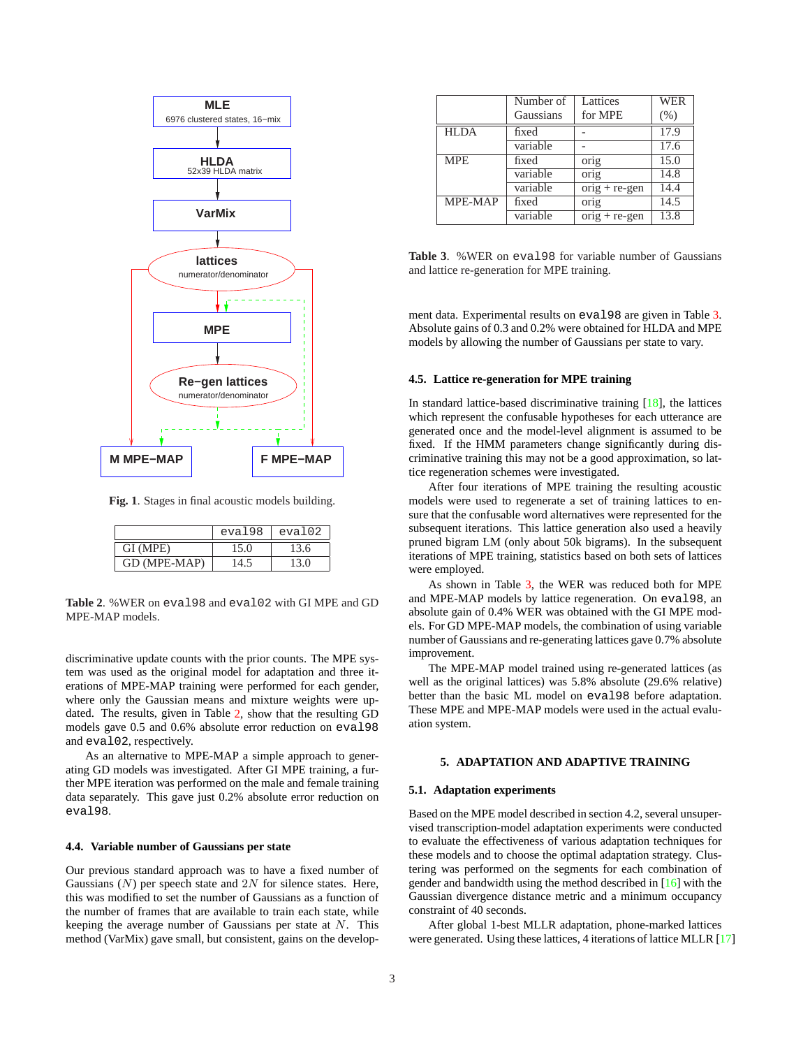<span id="page-2-0"></span>

**Fig. 1**. Stages in final acoustic models building.

|              | eval98 | eval02 |
|--------------|--------|--------|
| GI (MPE)     | 15.0   | 13.6   |
| GD (MPE-MAP) | 14.5   | 13.0   |

**Table 2**. %WER on eval98 and eval02 with GI MPE and GD MPE-MAP models.

discriminative update counts with the prior counts. The MPE system was used as the original model for adaptation and three iterations of MPE-MAP training were performed for each gender, where only the Gaussian means and mixture weights were updated. The results, given in Table 2, show that the resulting GD models gave 0.5 and 0.6% absolute error reduction on eval98 and eval02, respectively.

As an alternative to MPE-MAP a simple approach to generating GD models was investigated. After GI MPE training, a further MPE iteration was performed on the male and female training data separately. This gave just 0.2% absolute error reduction on eval98.

#### **4.4. Variable number of Gaussians per state**

Our previous standard approach was to have a fixed number of Gaussians  $(N)$  per speech state and  $2N$  for silence states. Here, this was modified to set the number of Gaussians as a function of the number of frames that are available to train each state, while keeping the average number of Gaussians per state at N. This method (VarMix) gave small, but consistent, gains on the develop-

|             | Number of | Lattices          | <b>WER</b> |
|-------------|-----------|-------------------|------------|
|             | Gaussians | for MPE           | (% )       |
| <b>HLDA</b> | fixed     |                   | 17.9       |
|             | variable  |                   | 17.6       |
| <b>MPE</b>  | fixed     | orig              | 15.0       |
|             | variable  | $\overline{orig}$ | 14.8       |
|             | variable  | $orig + re-gen$   | 14.4       |
| MPE-MAP     | fixed     | orig              | 14.5       |
|             | variable  | $orig + re-gen$   | 13.8       |

**Table 3**. %WER on eval98 for variable number of Gaussians and lattice re-generation for MPE training.

ment data. Experimental results on eval98 are given in Table 3. Absolute gains of 0.3 and 0.2% were obtained for HLDA and MPE models by allowing the number of Gaussians per state to vary.

#### **4.5. Lattice re-generation for MPE training**

In standard lattice-based discriminative training [\[18\]](#page-5-0), the lattices which represent the confusable hypotheses for each utterance are generated once and the model-level alignment is assumed to be fixed. If the HMM parameters change significantly during discriminative training this may not be a good approximation, so lattice regeneration schemes were investigated.

After four iterations of MPE training the resulting acoustic models were used to regenerate a set of training lattices to ensure that the confusable word alternatives were represented for the subsequent iterations. This lattice generation also used a heavily pruned bigram LM (only about 50k bigrams). In the subsequent iterations of MPE training, statistics based on both sets of lattices were employed.

As shown in Table 3, the WER was reduced both for MPE and MPE-MAP models by lattice regeneration. On eval98, an absolute gain of 0.4% WER was obtained with the GI MPE models. For GD MPE-MAP models, the combination of using variable number of Gaussians and re-generating lattices gave 0.7% absolute improvement.

The MPE-MAP model trained using re-generated lattices (as well as the original lattices) was 5.8% absolute (29.6% relative) better than the basic ML model on eval98 before adaptation. These MPE and MPE-MAP models were used in the actual evaluation system.

#### **5. ADAPTATION AND ADAPTIVE TRAINING**

#### **5.1. Adaptation experiments**

Based on the MPE model described in section 4.2, several unsupervised transcription-model adaptation experiments were conducted to evaluate the effectiveness of various adaptation techniques for these models and to choose the optimal adaptation strategy. Clustering was performed on the segments for each combination of gender and bandwidth using the method described in [\[16\]](#page-5-0) with the Gaussian divergence distance metric and a minimum occupancy constraint of 40 seconds.

After global 1-best MLLR adaptation, phone-marked lattices were generated. Using these lattices, 4 iterations of lattice MLLR [\[17\]](#page-5-0)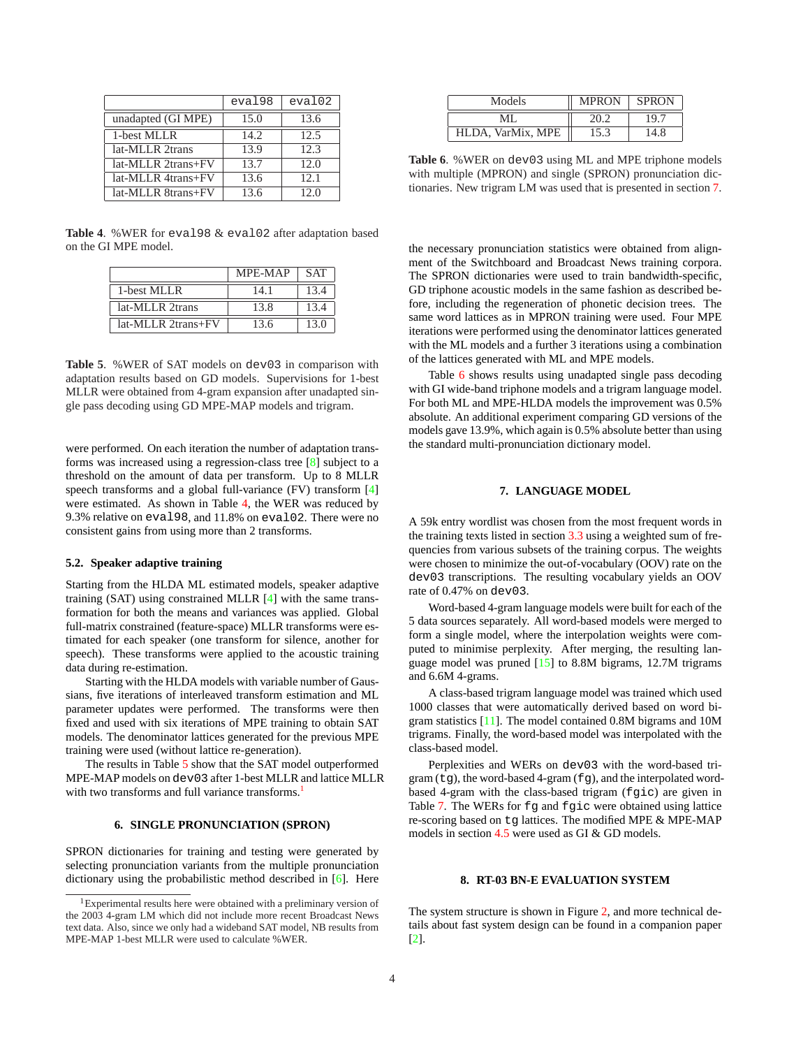|                    | eval98 | eval02 |
|--------------------|--------|--------|
| unadapted (GI MPE) | 15.0   | 13.6   |
| 1-best MLLR        | 14.2.  | 12.5   |
| lat-MLLR 2trans    | 13.9   | 12.3   |
| lat-MLLR 2trans+FV | 13.7   | 12.0   |
| lat-MLLR 4trans+FV | 13.6   | 12.1   |
| lat-MLLR 8trans+FV | 13.6   | 12.0   |

**Table 4**. %WER for eval98 & eval02 after adaptation based on the GI MPE model.

|                    | MPE-MAP | <b>SAT</b> |
|--------------------|---------|------------|
| 1-best MLLR        | 14.1    | 13.4       |
| lat-MLLR 2trans    | 13.8    | 13.4       |
| lat-MLLR 2trans+FV | 13.6    | 13.0       |

**Table 5**. %WER of SAT models on dev03 in comparison with adaptation results based on GD models. Supervisions for 1-best MLLR were obtained from 4-gram expansion after unadapted single pass decoding using GD MPE-MAP models and trigram.

were performed. On each iteration the number of adaptation transforms was increased using a regression-class tree [\[8\]](#page-5-0) subject to a threshold on the amount of data per transform. Up to 8 MLLR speech transforms and a global full-variance (FV) transform [\[4\]](#page-5-0) were estimated. As shown in Table 4, the WER was reduced by 9.3% relative on eval98, and 11.8% on eval02. There were no consistent gains from using more than 2 transforms.

#### **5.2. Speaker adaptive training**

Starting from the HLDA ML estimated models, speaker adaptive training (SAT) using constrained MLLR [\[4\]](#page-5-0) with the same transformation for both the means and variances was applied. Global full-matrix constrained (feature-space) MLLR transforms were estimated for each speaker (one transform for silence, another for speech). These transforms were applied to the acoustic training data during re-estimation.

Starting with the HLDA models with variable number of Gaussians, five iterations of interleaved transform estimation and ML parameter updates were performed. The transforms were then fixed and used with six iterations of MPE training to obtain SAT models. The denominator lattices generated for the previous MPE training were used (without lattice re-generation).

The results in Table 5 show that the SAT model outperformed MPE-MAP models on dev03 after 1-best MLLR and lattice MLLR with two transforms and full variance transforms.<sup>1</sup>

### **6. SINGLE PRONUNCIATION (SPRON)**

SPRON dictionaries for training and testing were generated by selecting pronunciation variants from the multiple pronunciation dictionary using the probabilistic method described in [\[6\]](#page-5-0). Here

| Models            | <b>MPRON</b> | <b>SPRON</b> |
|-------------------|--------------|--------------|
| ML.               | 20.2         | 19.7         |
| HLDA, VarMix, MPE | 15.3         | 14.8         |

**Table 6**. %WER on dev03 using ML and MPE triphone models with multiple (MPRON) and single (SPRON) pronunciation dictionaries. New trigram LM was used that is presented in section 7.

the necessary pronunciation statistics were obtained from alignment of the Switchboard and Broadcast News training corpora. The SPRON dictionaries were used to train bandwidth-specific, GD triphone acoustic models in the same fashion as described before, including the regeneration of phonetic decision trees. The same word lattices as in MPRON training were used. Four MPE iterations were performed using the denominator lattices generated with the ML models and a further 3 iterations using a combination of the lattices generated with ML and MPE models.

Table 6 shows results using unadapted single pass decoding with GI wide-band triphone models and a trigram language model. For both ML and MPE-HLDA models the improvement was 0.5% absolute. An additional experiment comparing GD versions of the models gave 13.9%, which again is 0.5% absolute better than using the standard multi-pronunciation dictionary model.

### **7. LANGUAGE MODEL**

A 59k entry wordlist was chosen from the most frequent words in the training texts listed in section [3.3](#page-1-0) using a weighted sum of frequencies from various subsets of the training corpus. The weights were chosen to minimize the out-of-vocabulary (OOV) rate on the dev03 transcriptions. The resulting vocabulary yields an OOV rate of 0.47% on dev03.

Word-based 4-gram language models were built for each of the 5 data sources separately. All word-based models were merged to form a single model, where the interpolation weights were computed to minimise perplexity. After merging, the resulting language model was pruned [\[15\]](#page-5-0) to 8.8M bigrams, 12.7M trigrams and 6.6M 4-grams.

A class-based trigram language model was trained which used 1000 classes that were automatically derived based on word bigram statistics [\[11\]](#page-5-0). The model contained 0.8M bigrams and 10M trigrams. Finally, the word-based model was interpolated with the class-based model.

Perplexities and WERs on dev03 with the word-based tri $gram(tg)$ , the word-based 4-gram ( $fg$ ), and the interpolated wordbased 4-gram with the class-based trigram (fgic) are given in Table [7.](#page-4-0) The WERs for fg and fgic were obtained using lattice re-scoring based on tg lattices. The modified MPE & MPE-MAP models in section [4.5](#page-2-0) were used as GI & GD models.

### **8. RT-03 BN-E EVALUATION SYSTEM**

The system structure is shown in Figure [2,](#page-4-0) and more technical details about fast system design can be found in a companion paper [\[2\]](#page-5-0).

<sup>&</sup>lt;sup>1</sup>Experimental results here were obtained with a preliminary version of the 2003 4-gram LM which did not include more recent Broadcast News text data. Also, since we only had a wideband SAT model, NB results from MPE-MAP 1-best MLLR were used to calculate %WER.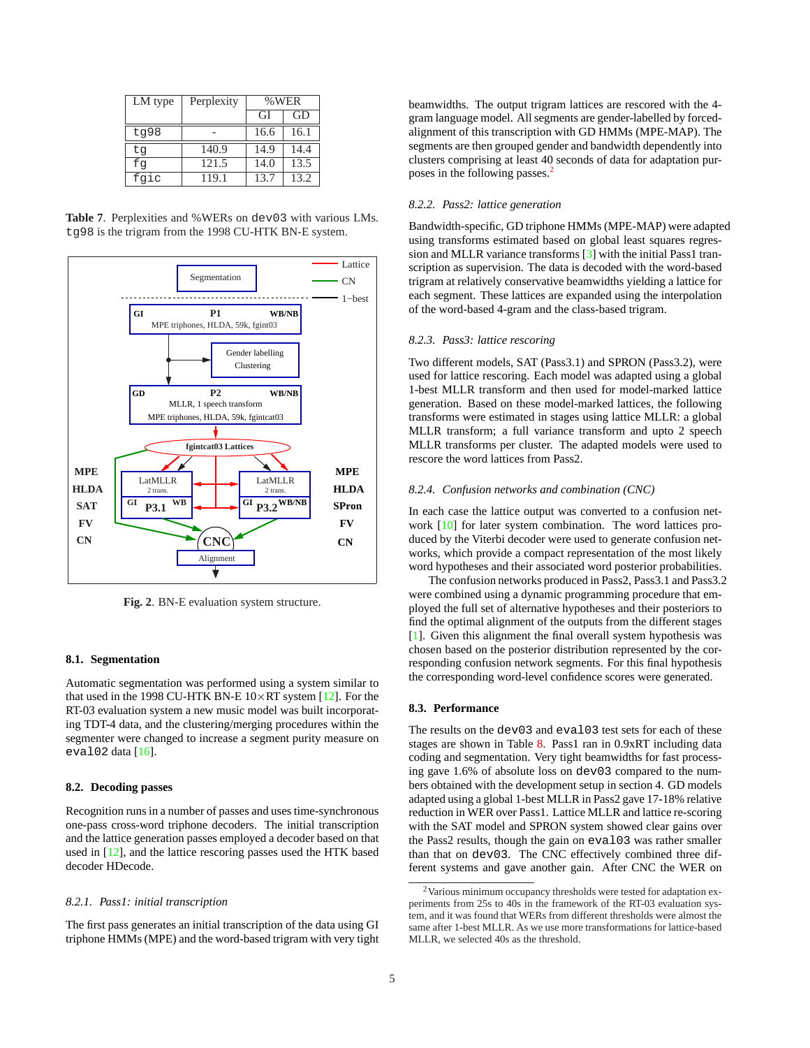<span id="page-4-0"></span>

| LM type | Perplexity | %WER |      |
|---------|------------|------|------|
|         |            | GI   | GD   |
| tg98    |            | 16.6 | 16.1 |
| tq      | 140.9      | 14.9 | 14.4 |
| fq      | 121.5      | 14.0 | 13.5 |
| fqic    | 119.1      | 13.7 | 13.2 |

**Table 7**. Perplexities and %WERs on dev03 with various LMs. tg98 is the trigram from the 1998 CU-HTK BN-E system.



**Fig. 2**. BN-E evaluation system structure.

#### **8.1. Segmentation**

Automatic segmentation was performed using a system similar to that used in the 1998 CU-HTK BN-E  $10\times RT$  system [\[12\]](#page-5-0). For the RT-03 evaluation system a new music model was built incorporating TDT-4 data, and the clustering/merging procedures within the segmenter were changed to increase a segment purity measure on eval $02$  data  $[16]$ .

#### **8.2. Decoding passes**

Recognition runs in a number of passes and uses time-synchronous one-pass cross-word triphone decoders. The initial transcription and the lattice generation passes employed a decoder based on that used in [\[12\]](#page-5-0), and the lattice rescoring passes used the HTK based decoder HDecode.

### *8.2.1. Pass1: initial transcription*

The first pass generates an initial transcription of the data using GI triphone HMMs (MPE) and the word-based trigram with very tight beamwidths. The output trigram lattices are rescored with the 4 gram language model. All segments are gender-labelled by forcedalignment of this transcription with GD HMMs (MPE-MAP). The segments are then grouped gender and bandwidth dependently into clusters comprising at least 40 seconds of data for adaptation purposes in the following passes.<sup>2</sup>

### *8.2.2. Pass2: lattice generation*

Bandwidth-specific, GD triphone HMMs (MPE-MAP) were adapted using transforms estimated based on global least squares regression and MLLR variance transforms [\[3\]](#page-5-0) with the initial Pass1 transcription as supervision. The data is decoded with the word-based trigram at relatively conservative beamwidths yielding a lattice for each segment. These lattices are expanded using the interpolation of the word-based 4-gram and the class-based trigram.

#### *8.2.3. Pass3: lattice rescoring*

Two different models, SAT (Pass3.1) and SPRON (Pass3.2), were used for lattice rescoring. Each model was adapted using a global 1-best MLLR transform and then used for model-marked lattice generation. Based on these model-marked lattices, the following transforms were estimated in stages using lattice MLLR: a global MLLR transform; a full variance transform and upto 2 speech MLLR transforms per cluster. The adapted models were used to rescore the word lattices from Pass2.

#### *8.2.4. Confusion networks and combination (CNC)*

In each case the lattice output was converted to a confusion network [\[10\]](#page-5-0) for later system combination. The word lattices produced by the Viterbi decoder were used to generate confusion networks, which provide a compact representation of the most likely word hypotheses and their associated word posterior probabilities.

The confusion networks produced in Pass2, Pass3.1 and Pass3.2 were combined using a dynamic programming procedure that employed the full set of alternative hypotheses and their posteriors to find the optimal alignment of the outputs from the different stages [\[1\]](#page-5-0). Given this alignment the final overall system hypothesis was chosen based on the posterior distribution represented by the corresponding confusion network segments. For this final hypothesis the corresponding word-level confidence scores were generated.

#### **8.3. Performance**

The results on the dev03 and eval03 test sets for each of these stages are shown in Table [8.](#page-5-0) Pass1 ran in 0.9xRT including data coding and segmentation. Very tight beamwidths for fast processing gave 1.6% of absolute loss on dev03 compared to the numbers obtained with the development setup in section 4. GD models adapted using a global 1-best MLLR in Pass2 gave 17-18% relative reduction in WER over Pass1. Lattice MLLR and lattice re-scoring with the SAT model and SPRON system showed clear gains over the Pass2 results, though the gain on eval03 was rather smaller than that on dev03. The CNC effectively combined three different systems and gave another gain. After CNC the WER on

 $2$ Various minimum occupancy thresholds were tested for adaptation experiments from 25s to 40s in the framework of the RT-03 evaluation system, and it was found that WERs from different thresholds were almost the same after 1-best MLLR. As we use more transformations for lattice-based MLLR, we selected 40s as the threshold.